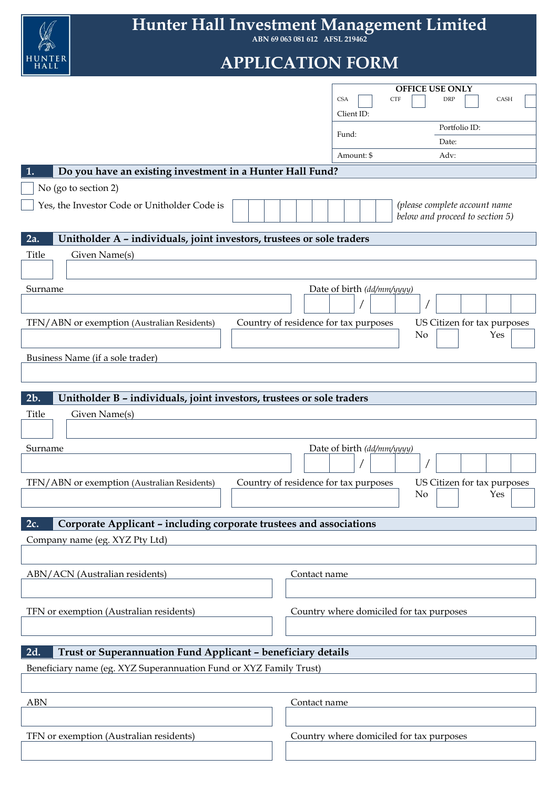

**Hunter Hall Investment Management Limited**

**ABN 69 063 081 612 AFSL 219462**

# **APPLICATION FORM**

|                                                                                      | <b>CSA</b>                  | <b>OFFICE USE ONLY</b><br>CASH<br><b>CTF</b><br>DRP |
|--------------------------------------------------------------------------------------|-----------------------------|-----------------------------------------------------|
|                                                                                      | Client ID:                  |                                                     |
|                                                                                      |                             | Portfolio ID:                                       |
|                                                                                      | Fund:                       | Date:                                               |
|                                                                                      | Amount: \$                  | Adv:                                                |
| Do you have an existing investment in a Hunter Hall Fund?<br>1.                      |                             |                                                     |
| No (go to section 2)                                                                 |                             |                                                     |
| Yes, the Investor Code or Unitholder Code is                                         |                             | (please complete account name                       |
|                                                                                      |                             | below and proceed to section 5)                     |
| 2a.<br>Unitholder A - individuals, joint investors, trustees or sole traders         |                             |                                                     |
|                                                                                      |                             |                                                     |
| Given Name(s)<br>Title                                                               |                             |                                                     |
|                                                                                      |                             |                                                     |
| Surname                                                                              | Date of birth (dd/mm/yyyyy) |                                                     |
|                                                                                      |                             |                                                     |
| Country of residence for tax purposes<br>TFN/ABN or exemption (Australian Residents) |                             | US Citizen for tax purposes                         |
|                                                                                      |                             | Yes<br>No                                           |
| Business Name (if a sole trader)                                                     |                             |                                                     |
|                                                                                      |                             |                                                     |
|                                                                                      |                             |                                                     |
| 2b.<br>Unitholder B - individuals, joint investors, trustees or sole traders         |                             |                                                     |
| Title<br>Given Name(s)                                                               |                             |                                                     |
|                                                                                      |                             |                                                     |
| Surname                                                                              | Date of birth (dd/mm/yyyy)  |                                                     |
|                                                                                      |                             |                                                     |
| Country of residence for tax purposes<br>TFN/ABN or exemption (Australian Residents) |                             | US Citizen for tax purposes                         |
|                                                                                      |                             | No<br>Yes                                           |
|                                                                                      |                             |                                                     |
| Corporate Applicant - including corporate trustees and associations<br>2c.           |                             |                                                     |
| Company name (eg. XYZ Pty Ltd)                                                       |                             |                                                     |
|                                                                                      |                             |                                                     |
| ABN/ACN (Australian residents)                                                       | Contact name                |                                                     |
|                                                                                      |                             |                                                     |
|                                                                                      |                             |                                                     |
| TFN or exemption (Australian residents)                                              |                             | Country where domiciled for tax purposes            |
|                                                                                      |                             |                                                     |
| Trust or Superannuation Fund Applicant - beneficiary details<br>2d.                  |                             |                                                     |
|                                                                                      |                             |                                                     |
| Beneficiary name (eg. XYZ Superannuation Fund or XYZ Family Trust)                   |                             |                                                     |
|                                                                                      |                             |                                                     |
| <b>ABN</b>                                                                           | Contact name                |                                                     |
|                                                                                      |                             |                                                     |
| TFN or exemption (Australian residents)                                              |                             | Country where domiciled for tax purposes            |
|                                                                                      |                             |                                                     |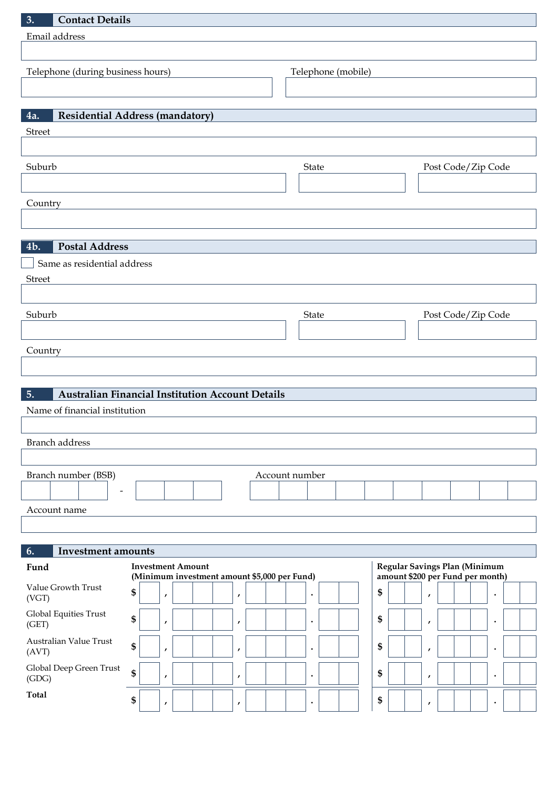| <b>Contact Details</b><br>3.                    |                                                                          |                    |                                                                   |
|-------------------------------------------------|--------------------------------------------------------------------------|--------------------|-------------------------------------------------------------------|
| Email address                                   |                                                                          |                    |                                                                   |
| Telephone (during business hours)               |                                                                          | Telephone (mobile) |                                                                   |
|                                                 |                                                                          |                    |                                                                   |
| 4a.                                             | <b>Residential Address (mandatory)</b>                                   |                    |                                                                   |
| Street                                          |                                                                          |                    |                                                                   |
| Suburb                                          |                                                                          | State              | Post Code/Zip Code                                                |
|                                                 |                                                                          |                    |                                                                   |
| Country                                         |                                                                          |                    |                                                                   |
|                                                 |                                                                          |                    |                                                                   |
| <b>Postal Address</b><br>4b.                    |                                                                          |                    |                                                                   |
| Same as residential address<br>Street           |                                                                          |                    |                                                                   |
|                                                 |                                                                          |                    |                                                                   |
| Suburb                                          |                                                                          | State              | Post Code/Zip Code                                                |
|                                                 |                                                                          |                    |                                                                   |
| Country                                         |                                                                          |                    |                                                                   |
|                                                 |                                                                          |                    |                                                                   |
| 5.                                              | Australian Financial Institution Account Details                         |                    |                                                                   |
| Name of financial institution                   |                                                                          |                    |                                                                   |
| <b>Branch</b> address                           |                                                                          |                    |                                                                   |
|                                                 |                                                                          | Account number     |                                                                   |
| Branch number (BSB)<br>$\overline{\phantom{0}}$ |                                                                          |                    |                                                                   |
| Account name                                    |                                                                          |                    |                                                                   |
|                                                 |                                                                          |                    |                                                                   |
| 6.<br><b>Investment amounts</b>                 |                                                                          |                    |                                                                   |
| Fund                                            | <b>Investment Amount</b><br>(Minimum investment amount \$5,000 per Fund) |                    | Regular Savings Plan (Minimum<br>amount \$200 per Fund per month) |
| Value Growth Trust<br>(VGT)                     | \$<br>,<br>$\pmb{r}$                                                     | $\bullet$          | \$<br>$\bullet$<br>$\boldsymbol{r}$                               |
| Global Equities Trust<br>(GET)                  | \$<br>$\pmb{r}$<br>$\pmb{r}$                                             | $\bullet$          | \$<br>$\bullet$<br>$\pmb{r}$                                      |
| Australian Value Trust<br>(AVT)                 | \$<br>,<br>$\mathbf{r}$                                                  | $\bullet$          | \$<br>$\bullet$<br>$\boldsymbol{r}$                               |
| Global Deep Green Trust<br>(GDG)                | \$<br>$\pmb{r}$<br>,                                                     | $\bullet$          | \$<br>$\bullet$<br>$\pmb{r}$                                      |
| Total                                           | \$<br>$\pmb{r}$<br>$\pmb{r}$                                             | ٠                  | \$<br>$\bullet$<br>$\boldsymbol{r}$                               |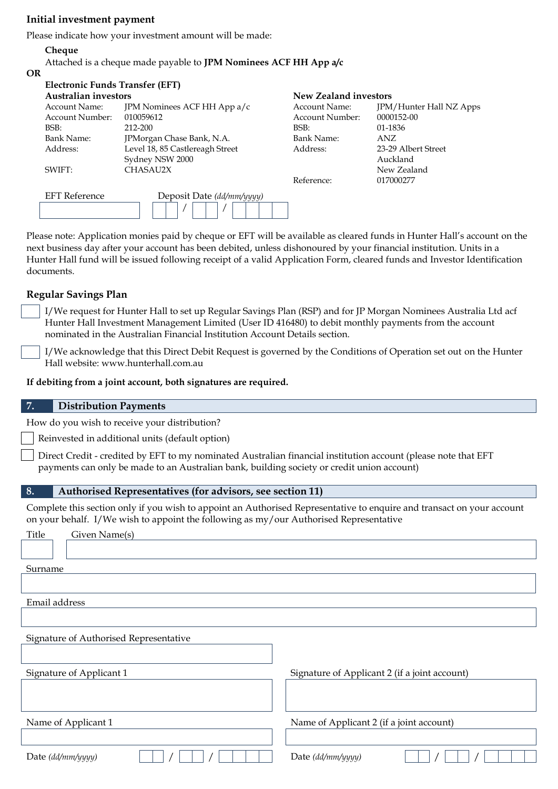### **Initial investment payment**

Please indicate how your investment amount will be made:

### **Cheque**

Attached is a cheque made payable to **JPM Nominees ACF HH App a/c**

### **OR**

| <b>Electronic Funds Transfer (EFT)</b> |                                 |                       |                                |
|----------------------------------------|---------------------------------|-----------------------|--------------------------------|
| Australian investors                   |                                 | New Zealand investors |                                |
| Account Name:                          | JPM Nominees ACF HH App a/c     | Account Name:         | <b>JPM/Hunter Hall NZ Apps</b> |
| Account Number:                        | 010059612                       | Account Number:       | 0000152-00                     |
| BSB:                                   | 212-200                         | BSB:                  | 01-1836                        |
| Bank Name:                             | JPMorgan Chase Bank, N.A.       | Bank Name:            | ANZ.                           |
| Address:                               | Level 18, 85 Castlereagh Street | Address:              | 23-29 Albert Street            |
|                                        | Sydney NSW 2000                 |                       | Auckland                       |
| SWIFT:                                 | CHASAU2X                        |                       | New Zealand                    |
|                                        |                                 | Reference:            | 017000277                      |
| <b>EFT</b> Reference                   | Deposit Date (dd/mm/yyyy)       |                       |                                |
|                                        |                                 |                       |                                |

Please note: Application monies paid by cheque or EFT will be available as cleared funds in Hunter Hall's account on the next business day after your account has been debited, unless dishonoured by your financial institution. Units in a Hunter Hall fund will be issued following receipt of a valid Application Form, cleared funds and Investor Identification documents.

### **Regular Savings Plan**

I/We request for Hunter Hall to set up Regular Savings Plan (RSP) and for JP Morgan Nominees Australia Ltd acf Hunter Hall Investment Management Limited (User ID 416480) to debit monthly payments from the account nominated in the Australian Financial Institution Account Details section.

I/We acknowledge that this Direct Debit Request is governed by the Conditions of Operation set out on the Hunter Hall website: www.hunterhall.com.au

**If debiting from a joint account, both signatures are required.**

### **7. Distribution Payments**

How do you wish to receive your distribution?

Reinvested in additional units (default option)

Direct Credit - credited by EFT to my nominated Australian financial institution account (please note that EFT payments can only be made to an Australian bank, building society or credit union account)

### **8. Authorised Representatives (for advisors, see section 11)**

Complete this section only if you wish to appoint an Authorised Representative to enquire and transact on your account on your behalf. I/We wish to appoint the following as my/our Authorised Representative

| Title<br>Given Name(s)                 |                                               |
|----------------------------------------|-----------------------------------------------|
|                                        |                                               |
| Surname                                |                                               |
|                                        |                                               |
| Email address                          |                                               |
|                                        |                                               |
| Signature of Authorised Representative |                                               |
|                                        |                                               |
| Signature of Applicant 1               | Signature of Applicant 2 (if a joint account) |
|                                        |                                               |
|                                        |                                               |
| Name of Applicant 1                    | Name of Applicant 2 (if a joint account)      |
|                                        |                                               |
| Date (dd/mm/yyyy)                      | Date (dd/mm/yyyy)                             |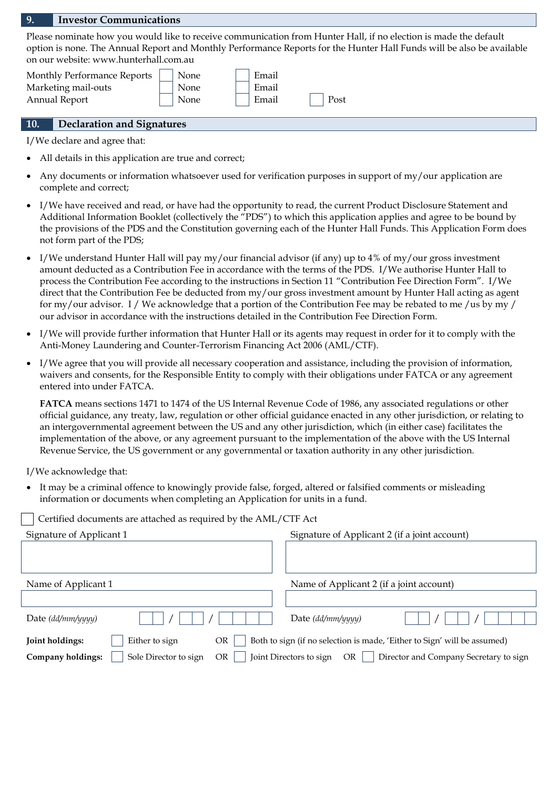#### **9. Investor Communications**

Please nominate how you would like to receive communication from Hunter Hall, if no election is made the default option is none. The Annual Report and Monthly Performance Reports for the Hunter Hall Funds will be also be available on our website: www.hunterhall.com.au

| Monthly Performance Reports | None | Email |      |  |
|-----------------------------|------|-------|------|--|
| Marketing mail-outs         | None | Email |      |  |
| Annual Report               | None | Email | Post |  |

### **10. Declaration and Signatures**

I/We declare and agree that:

- All details in this application are true and correct;
- Any documents or information whatsoever used for verification purposes in support of my/our application are complete and correct;
- I/We have received and read, or have had the opportunity to read, the current Product Disclosure Statement and Additional Information Booklet (collectively the "PDS") to which this application applies and agree to be bound by the provisions of the PDS and the Constitution governing each of the Hunter Hall Funds. This Application Form does not form part of the PDS;
- I/We understand Hunter Hall will pay my/our financial advisor (if any) up to 4% of my/our gross investment amount deducted as a Contribution Fee in accordance with the terms of the PDS. I/We authorise Hunter Hall to process the Contribution Fee according to the instructions in Section 11 "Contribution Fee Direction Form". I/We direct that the Contribution Fee be deducted from my/our gross investment amount by Hunter Hall acting as agent for my/our advisor. I / We acknowledge that a portion of the Contribution Fee may be rebated to me /us by my / our advisor in accordance with the instructions detailed in the Contribution Fee Direction Form.
- I/We will provide further information that Hunter Hall or its agents may request in order for it to comply with the Anti-Money Laundering and Counter-Terrorism Financing Act 2006 (AML/CTF).
- I/We agree that you will provide all necessary cooperation and assistance, including the provision of information, waivers and consents, for the Responsible Entity to comply with their obligations under FATCA or any agreement entered into under FATCA.

**FATCA** means sections 1471 to 1474 of the US Internal Revenue Code of 1986, any associated regulations or other official guidance, any treaty, law, regulation or other official guidance enacted in any other jurisdiction, or relating to an intergovernmental agreement between the US and any other jurisdiction, which (in either case) facilitates the implementation of the above, or any agreement pursuant to the implementation of the above with the US Internal Revenue Service, the US government or any governmental or taxation authority in any other jurisdiction.

I/We acknowledge that:

 It may be a criminal offence to knowingly provide false, forged, altered or falsified comments or misleading information or documents when completing an Application for units in a fund.

| Signature of Applicant 1                         | Signature of Applicant 2 (if a joint account)                            |
|--------------------------------------------------|--------------------------------------------------------------------------|
|                                                  |                                                                          |
|                                                  |                                                                          |
| Name of Applicant 1                              | Name of Applicant 2 (if a joint account)                                 |
|                                                  |                                                                          |
| Date (dd/mm/yyyy)                                | Date (dd/mm/yyyy)                                                        |
| Either to sign<br>Joint holdings:<br>OR          | Both to sign (if no selection is made, 'Either to Sign' will be assumed) |
| Sole Director to sign<br>Company holdings:<br>OR | Joint Directors to sign<br>Director and Company Secretary to sign<br>OR. |

Certified documents are attached as required by the AML/CTF Act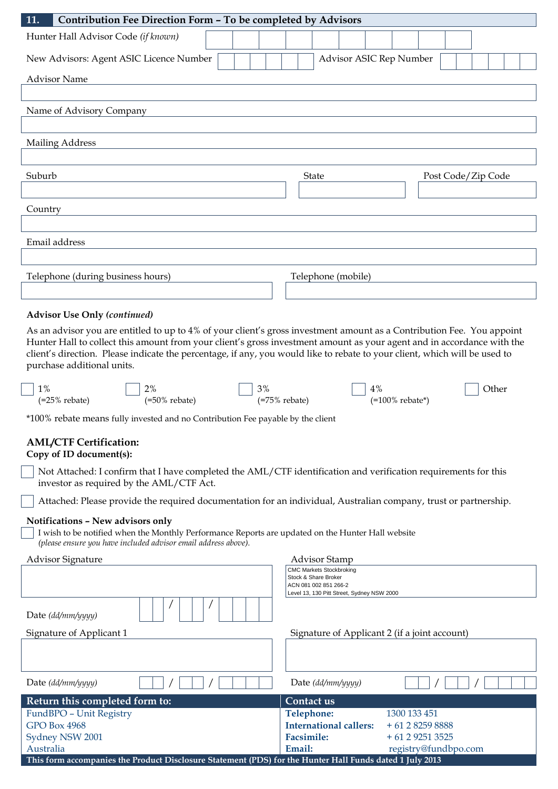| 11.<br>Contribution Fee Direction Form - To be completed by Advisors                                                                                                                                                                                                                                                                                                                                         |                                                                     |  |  |
|--------------------------------------------------------------------------------------------------------------------------------------------------------------------------------------------------------------------------------------------------------------------------------------------------------------------------------------------------------------------------------------------------------------|---------------------------------------------------------------------|--|--|
| Hunter Hall Advisor Code (if known)                                                                                                                                                                                                                                                                                                                                                                          |                                                                     |  |  |
| New Advisors: Agent ASIC Licence Number                                                                                                                                                                                                                                                                                                                                                                      | Advisor ASIC Rep Number                                             |  |  |
| <b>Advisor Name</b>                                                                                                                                                                                                                                                                                                                                                                                          |                                                                     |  |  |
|                                                                                                                                                                                                                                                                                                                                                                                                              |                                                                     |  |  |
| Name of Advisory Company                                                                                                                                                                                                                                                                                                                                                                                     |                                                                     |  |  |
|                                                                                                                                                                                                                                                                                                                                                                                                              |                                                                     |  |  |
| <b>Mailing Address</b>                                                                                                                                                                                                                                                                                                                                                                                       |                                                                     |  |  |
|                                                                                                                                                                                                                                                                                                                                                                                                              |                                                                     |  |  |
| Suburb                                                                                                                                                                                                                                                                                                                                                                                                       | <b>State</b><br>Post Code/Zip Code                                  |  |  |
|                                                                                                                                                                                                                                                                                                                                                                                                              |                                                                     |  |  |
| Country                                                                                                                                                                                                                                                                                                                                                                                                      |                                                                     |  |  |
|                                                                                                                                                                                                                                                                                                                                                                                                              |                                                                     |  |  |
| Email address                                                                                                                                                                                                                                                                                                                                                                                                |                                                                     |  |  |
|                                                                                                                                                                                                                                                                                                                                                                                                              |                                                                     |  |  |
| Telephone (during business hours)                                                                                                                                                                                                                                                                                                                                                                            | Telephone (mobile)                                                  |  |  |
|                                                                                                                                                                                                                                                                                                                                                                                                              |                                                                     |  |  |
| <b>Advisor Use Only (continued)</b>                                                                                                                                                                                                                                                                                                                                                                          |                                                                     |  |  |
| As an advisor you are entitled to up to 4% of your client's gross investment amount as a Contribution Fee. You appoint<br>Hunter Hall to collect this amount from your client's gross investment amount as your agent and in accordance with the<br>client's direction. Please indicate the percentage, if any, you would like to rebate to your client, which will be used to<br>purchase additional units. |                                                                     |  |  |
| 1%<br>2%<br>3%                                                                                                                                                                                                                                                                                                                                                                                               | 4%<br>Other                                                         |  |  |
| $(=25\%$ rebate)<br>$(=50\%$ rebate)                                                                                                                                                                                                                                                                                                                                                                         | $(=75\%$ rebate)<br>$(=100\%$ rebate*)                              |  |  |
| *100% rebate means fully invested and no Contribution Fee payable by the client                                                                                                                                                                                                                                                                                                                              |                                                                     |  |  |
| <b>AML/CTF Certification:</b>                                                                                                                                                                                                                                                                                                                                                                                |                                                                     |  |  |
| Copy of ID document(s):<br>Not Attached: I confirm that I have completed the AML/CTF identification and verification requirements for this                                                                                                                                                                                                                                                                   |                                                                     |  |  |
| investor as required by the AML/CTF Act.<br>Attached: Please provide the required documentation for an individual, Australian company, trust or partnership.                                                                                                                                                                                                                                                 |                                                                     |  |  |
|                                                                                                                                                                                                                                                                                                                                                                                                              |                                                                     |  |  |
| Notifications - New advisors only<br>I wish to be notified when the Monthly Performance Reports are updated on the Hunter Hall website<br>(please ensure you have included advisor email address above).                                                                                                                                                                                                     |                                                                     |  |  |
| <b>Advisor Signature</b>                                                                                                                                                                                                                                                                                                                                                                                     | <b>Advisor Stamp</b>                                                |  |  |
|                                                                                                                                                                                                                                                                                                                                                                                                              | <b>CMC Markets Stockbroking</b><br>Stock & Share Broker             |  |  |
|                                                                                                                                                                                                                                                                                                                                                                                                              | ACN 081 002 851 266-2<br>Level 13, 130 Pitt Street, Sydney NSW 2000 |  |  |
| Date (dd/mm/yyyy)                                                                                                                                                                                                                                                                                                                                                                                            |                                                                     |  |  |
| Signature of Applicant 1                                                                                                                                                                                                                                                                                                                                                                                     | Signature of Applicant 2 (if a joint account)                       |  |  |
|                                                                                                                                                                                                                                                                                                                                                                                                              |                                                                     |  |  |
| Date (dd/mm/yyyy)                                                                                                                                                                                                                                                                                                                                                                                            | Date (dd/mm/yyyy)                                                   |  |  |
| Return this completed form to:                                                                                                                                                                                                                                                                                                                                                                               | Contact us                                                          |  |  |

| FundBPO - Unit Registry                                                                                    | Telephone:                                   | 1300 133 451         |
|------------------------------------------------------------------------------------------------------------|----------------------------------------------|----------------------|
| GPO Box 4968                                                                                               | <b>International callers:</b> $+61282598888$ |                      |
| Sydney NSW 2001                                                                                            | <b>Facsimile:</b>                            | $+61292513525$       |
| Australia                                                                                                  | Email:                                       | registry@fundbpo.com |
| This Court essentiation the Duadrest Disclosure Ctotoment (DDC) Couthe Header Hall Funds dated 1 Libr 2012 |                                              |                      |

**This form accompanies the Product Disclosure Statement (PDS) for the Hunter Hall Funds dated 1 July 2013**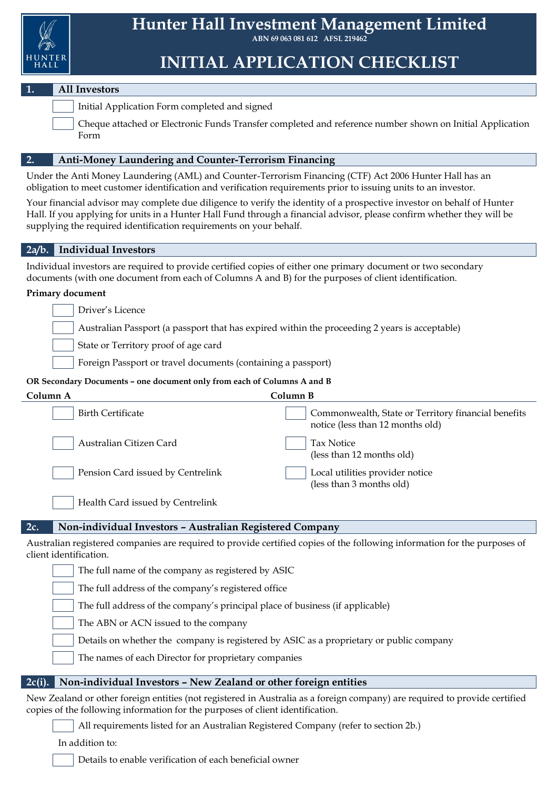

**ABN 69 063 081 612 AFSL 219462**

## **INITIAL APPLICATION CHECKLIST**

### **1. All Investors**

Initial Application Form completed and signed

Cheque attached or Electronic Funds Transfer completed and reference number shown on Initial Application Form

### **2. Anti-Money Laundering and Counter-Terrorism Financing**

Under the Anti Money Laundering (AML) and Counter-Terrorism Financing (CTF) Act 2006 Hunter Hall has an obligation to meet customer identification and verification requirements prior to issuing units to an investor.

Your financial advisor may complete due diligence to verify the identity of a prospective investor on behalf of Hunter Hall. If you applying for units in a Hunter Hall Fund through a financial advisor, please confirm whether they will be supplying the required identification requirements on your behalf.

### **2a/b. Individual Investors**

Individual investors are required to provide certified copies of either one primary document or two secondary documents (with one document from each of Columns A and B) for the purposes of client identification.

### **Primary document**

Australian Passport (a passport that has expired within the proceeding 2 years is acceptable)

State or Territory proof of age card

Foreign Passport or travel documents (containing a passport)

### **OR Secondary Documents – one document only from each of Columns A and B**

| Column A                                                        | Column B                                                                                |
|-----------------------------------------------------------------|-----------------------------------------------------------------------------------------|
| <b>Birth Certificate</b>                                        | Commonwealth, State or Territory financial benefits<br>notice (less than 12 months old) |
| Australian Citizen Card                                         | Tax Notice<br>(less than 12 months old)                                                 |
| Pension Card issued by Centrelink                               | Local utilities provider notice<br>(less than 3 months old)                             |
| Health Card issued by Centrelink                                |                                                                                         |
| 2c.<br>Non-individual Investors - Australian Registered Company |                                                                                         |

Australian registered companies are required to provide certified copies of the following information for the purposes of client identification.

The full name of the company as registered by ASIC

The full address of the company's registered office

The full address of the company's principal place of business (if applicable)

The ABN or ACN issued to the company

Details on whether the company is registered by ASIC as a proprietary or public company

The names of each Director for proprietary companies

### **2c(i). Non-individual Investors – New Zealand or other foreign entities**

New Zealand or other foreign entities (not registered in Australia as a foreign company) are required to provide certified copies of the following information for the purposes of client identification.

All requirements listed for an Australian Registered Company (refer to section 2b.)

In addition to:

Details to enable verification of each beneficial owner